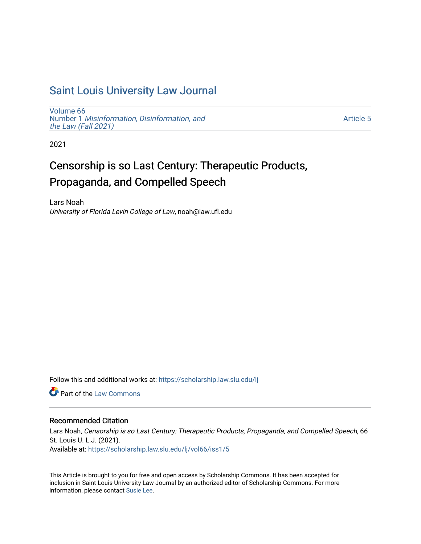# [Saint Louis University Law Journal](https://scholarship.law.slu.edu/lj)

[Volume 66](https://scholarship.law.slu.edu/lj/vol66) Number 1 [Misinformation, Disinformation, and](https://scholarship.law.slu.edu/lj/vol66/iss1)  [the Law \(Fall 2021\)](https://scholarship.law.slu.edu/lj/vol66/iss1)

[Article 5](https://scholarship.law.slu.edu/lj/vol66/iss1/5) 

2021

# Censorship is so Last Century: Therapeutic Products, Propaganda, and Compelled Speech

Lars Noah University of Florida Levin College of Law, noah@law.ufl.edu

Follow this and additional works at: [https://scholarship.law.slu.edu/lj](https://scholarship.law.slu.edu/lj?utm_source=scholarship.law.slu.edu%2Flj%2Fvol66%2Fiss1%2F5&utm_medium=PDF&utm_campaign=PDFCoverPages) 

**C** Part of the [Law Commons](http://network.bepress.com/hgg/discipline/578?utm_source=scholarship.law.slu.edu%2Flj%2Fvol66%2Fiss1%2F5&utm_medium=PDF&utm_campaign=PDFCoverPages)

# Recommended Citation

Lars Noah, Censorship is so Last Century: Therapeutic Products, Propaganda, and Compelled Speech, 66 St. Louis U. L.J. (2021). Available at: [https://scholarship.law.slu.edu/lj/vol66/iss1/5](https://scholarship.law.slu.edu/lj/vol66/iss1/5?utm_source=scholarship.law.slu.edu%2Flj%2Fvol66%2Fiss1%2F5&utm_medium=PDF&utm_campaign=PDFCoverPages) 

This Article is brought to you for free and open access by Scholarship Commons. It has been accepted for inclusion in Saint Louis University Law Journal by an authorized editor of Scholarship Commons. For more information, please contact [Susie Lee](mailto:susie.lee@slu.edu).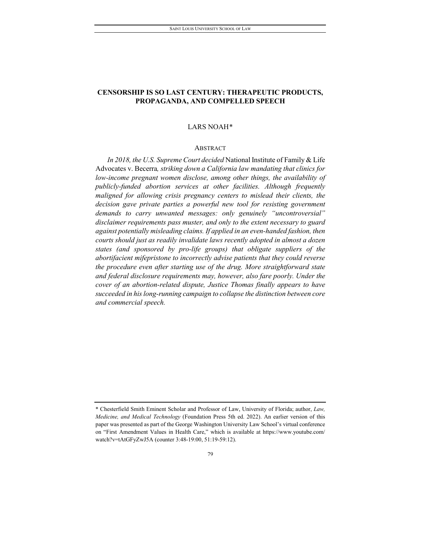# **CENSORSHIP IS SO LAST CENTURY: THERAPEUTIC PRODUCTS, PROPAGANDA, AND COMPELLED SPEECH**

### LARS NOAH[\\*](#page-1-0)

#### ABSTRACT

*In 2018, the U.S. Supreme Court decided* National Institute of Family & Life Advocates v. Becerra*, striking down a California law mandating that clinics for low-income pregnant women disclose, among other things, the availability of publicly-funded abortion services at other facilities. Although frequently maligned for allowing crisis pregnancy centers to mislead their clients, the decision gave private parties a powerful new tool for resisting government demands to carry unwanted messages: only genuinely "uncontroversial" disclaimer requirements pass muster, and only to the extent necessary to guard against potentially misleading claims. If applied in an even-handed fashion, then courts should just as readily invalidate laws recently adopted in almost a dozen states (and sponsored by pro-life groups) that obligate suppliers of the abortifacient mifepristone to incorrectly advise patients that they could reverse the procedure even after starting use of the drug. More straightforward state and federal disclosure requirements may, however, also fare poorly. Under the cover of an abortion-related dispute, Justice Thomas finally appears to have succeeded in hislong-running campaign to collapse the distinction between core and commercial speech.*

<span id="page-1-0"></span><sup>\*</sup> Chesterfield Smith Eminent Scholar and Professor of Law, University of Florida; author, *Law, Medicine, and Medical Technology* (Foundation Press 5th ed. 2022). An earlier version of this paper was presented as part of the George Washington University Law School's virtual conference on "First Amendment Values in Health Care," which is available at https://www.youtube.com/ watch?v=tAtGFyZwJ5A (counter 3:48-19:00, 51:19-59:12).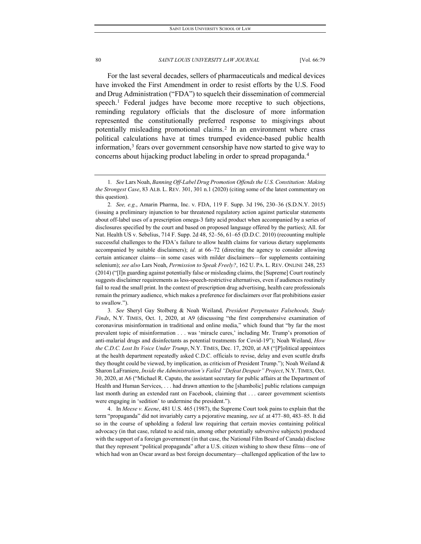For the last several decades, sellers of pharmaceuticals and medical devices have invoked the First Amendment in order to resist efforts by the U.S. Food and Drug Administration ("FDA") to squelch their dissemination of commercial speech.<sup>[1](#page-2-0)</sup> Federal judges have become more receptive to such objections, reminding regulatory officials that the disclosure of more information represented the constitutionally preferred response to misgivings about potentially misleading promotional claims.<sup>[2](#page-2-1)</sup> In an environment where crass political calculations have at times trumped evidence-based public health information,<sup>[3](#page-2-2)</sup> fears over government censorship have now started to give way to concerns about hijacking product labeling in order to spread propaganda.[4](#page-2-3)

<span id="page-2-2"></span>3*. See* Sheryl Gay Stolberg & Noah Weiland, *President Perpetuates Falsehoods, Study Finds*, N.Y. TIMES, Oct. 1, 2020, at A9 (discussing "the first comprehensive examination of coronavirus misinformation in traditional and online media," which found that "by far the most prevalent topic of misinformation . . . was 'miracle cures,' including Mr. Trump's promotion of anti-malarial drugs and disinfectants as potential treatments for Covid-19"); Noah Weiland, *How the C.D.C. Lost Its Voice Under Trump*, N.Y. TIMES, Dec. 17, 2020, at A8 ("[P]olitical appointees at the health department repeatedly asked C.D.C. officials to revise, delay and even scuttle drafts they thought could be viewed, by implication, as criticism of President Trump."); Noah Weiland & Sharon LaFraniere, *Inside the Administration's Failed "Defeat Despair" Project*, N.Y. TIMES, Oct. 30, 2020, at A6 ("Michael R. Caputo, the assistant secretary for public affairs at the Department of Health and Human Services, . . . had drawn attention to the [shambolic] public relations campaign last month during an extended rant on Facebook, claiming that . . . career government scientists were engaging in 'sedition' to undermine the president.").

<span id="page-2-3"></span>4. In *Meese v. Keene*, 481 U.S. 465 (1987), the Supreme Court took pains to explain that the term "propaganda" did not invariably carry a pejorative meaning, *see id.* at 477–80, 483–85. It did so in the course of upholding a federal law requiring that certain movies containing political advocacy (in that case, related to acid rain, among other potentially subversive subjects) produced with the support of a foreign government (in that case, the National Film Board of Canada) disclose that they represent "political propaganda" after a U.S. citizen wishing to show these films—one of which had won an Oscar award as best foreign documentary—challenged application of the law to

<span id="page-2-0"></span><sup>1</sup>*. See* Lars Noah, *Banning Off-Label Drug Promotion Offends the U.S. Constitution: Making the Strongest Case*, 83 ALB. L. REV. 301, 301 n.1 (2020) (citing some of the latest commentary on this question).

<span id="page-2-1"></span><sup>2</sup>*. See, e.g.*, Amarin Pharma, Inc. v. FDA, 119 F. Supp. 3d 196, 230–36 (S.D.N.Y. 2015) (issuing a preliminary injunction to bar threatened regulatory action against particular statements about off-label uses of a prescription omega-3 fatty acid product when accompanied by a series of disclosures specified by the court and based on proposed language offered by the parties); All. for Nat. Health US v. Sebelius, 714 F. Supp. 2d 48, 52–56, 61–65 (D.D.C. 2010) (recounting multiple successful challenges to the FDA's failure to allow health claims for various dietary supplements accompanied by suitable disclaimers); *id.* at 66–72 (directing the agency to consider allowing certain anticancer claims—in some cases with milder disclaimers—for supplements containing selenium); *see also* Lars Noah, *Permission to Speak Freely?*, 162 U. PA. L. REV. ONLINE 248, 253 (2014) ("[I]n guarding against potentially false or misleading claims, the [Supreme] Court routinely suggests disclaimer requirements as less-speech-restrictive alternatives, even if audiences routinely fail to read the small print. In the context of prescription drug advertising, health care professionals remain the primary audience, which makes a preference for disclaimers over flat prohibitions easier to swallow.").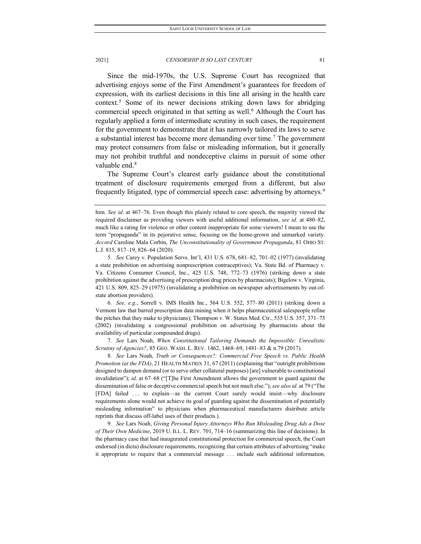Since the mid-1970s, the U.S. Supreme Court has recognized that advertising enjoys some of the First Amendment's guarantees for freedom of expression, with its earliest decisions in this line all arising in the health care context.[5](#page-3-0) Some of its newer decisions striking down laws for abridging commercial speech originated in that setting as well.<sup>[6](#page-3-1)</sup> Although the Court has regularly applied a form of intermediate scrutiny in such cases, the requirement for the government to demonstrate that it has narrowly tailored its laws to serve a substantial interest has become more demanding over time.<sup>[7](#page-3-2)</sup> The government may protect consumers from false or misleading information, but it generally may not prohibit truthful and nondeceptive claims in pursuit of some other valuable end.<sup>[8](#page-3-3)</sup>

The Supreme Court's clearest early guidance about the constitutional treatment of disclosure requirements emerged from a different, but also frequently litigated, type of commercial speech case: advertising by attorneys.<sup>[9](#page-3-4)</sup>

<span id="page-3-1"></span>6*. See, e.g.*, Sorrell v. IMS Health Inc., 564 U.S. 552, 577–80 (2011) (striking down a Vermont law that barred prescription data mining when it helps pharmaceutical salespeople refine the pitches that they make to physicians); Thompson v. W. States Med. Ctr., 535 U.S. 357, 371–73 (2002) (invalidating a congressional prohibition on advertising by pharmacists about the availability of particular compounded drugs).

<span id="page-3-2"></span>7*. See* Lars Noah, *When Constitutional Tailoring Demands the Impossible: Unrealistic Scrutiny of Agencies?*, 85 GEO. WASH. L. REV. 1462, 1468–69, 1481–83 & n.79 (2017).

<span id="page-3-3"></span>8*. See* Lars Noah, *Truth or Consequences?: Commercial Free Speech vs. Public Health Promotion (at the FDA)*, 21 HEALTH MATRIX 31, 67 (2011) (explaining that "outright prohibitions designed to dampen demand (or to serve other collateral purposes) [are] vulnerable to constitutional invalidation"); *id.* at 67–68 ("[T]he First Amendment allows the government to guard against the dissemination of false or deceptive commercial speech but not much else."); *see also id.* at 79 ("The [FDA] failed ... to explain—as the current Court surely would insist—why disclosure requirements alone would not achieve its goal of guarding against the dissemination of potentially misleading information" to physicians when pharmaceutical manufacturers distribute article reprints that discuss off-label uses of their products.).

<span id="page-3-4"></span>9*. See* Lars Noah, *Giving Personal Injury Attorneys Who Run Misleading Drug Ads a Dose of Their Own Medicine*, 2019 U. ILL. L. REV. 701, 714–16 (summarizing this line of decisions). In the pharmacy case that had inaugurated constitutional protection for commercial speech, the Court endorsed (in dicta) disclosure requirements, recognizing that certain attributes of advertising "make it appropriate to require that a commercial message . . . include such additional information,

him. *See id.* at 467–76. Even though this plainly related to core speech, the majority viewed the required disclaimer as providing viewers with useful additional information, *see id.* at 480–82, much like a rating for violence or other content inappropriate for some viewers! I mean to use the term "propaganda" in its pejorative sense, focusing on the home-grown and unmarked variety. *Accord* Caroline Mala Corbin, *The Unconstitutionality of Government Propaganda*, 81 OHIO ST. L.J. 815, 817–19, 826–64 (2020).

<span id="page-3-0"></span><sup>5</sup>*. See* Carey v. Population Servs. Int'l, 431 U.S. 678, 681–82, 701–02 (1977) (invalidating a state prohibition on advertising nonprescription contraceptives); Va. State Bd. of Pharmacy v. Va. Citizens Consumer Council, Inc., 425 U.S. 748, 772–73 (1976) (striking down a state prohibition against the advertising of prescription drug prices by pharmacists); Bigelow v. Virginia, 421 U.S. 809, 825–29 (1975) (invalidating a prohibition on newspaper advertisements by out-ofstate abortion providers).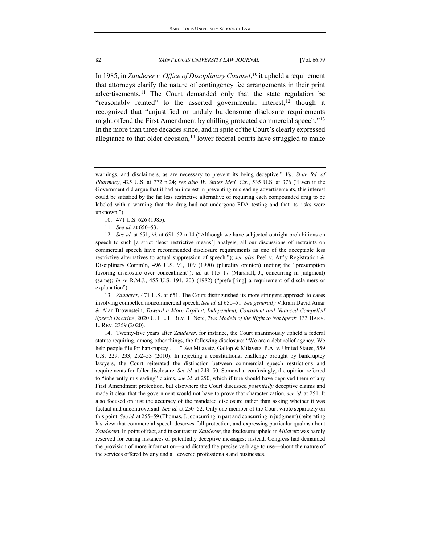In 1985, in *Zauderer v. Office of Disciplinary Counsel*, [10](#page-4-0) it upheld a requirement that attorneys clarify the nature of contingency fee arrangements in their print advertisements.<sup>[11](#page-4-1)</sup> The Court demanded only that the state regulation be "reasonably related" to the asserted governmental interest,  $12$  though it recognized that "unjustified or unduly burdensome disclosure requirements might offend the First Amendment by chilling protected commercial speech."<sup>[13](#page-4-3)</sup> In the more than three decades since, and in spite of the Court's clearly expressed allegiance to that older decision,<sup>[14](#page-4-4)</sup> lower federal courts have struggled to make

- 10. 471 U.S. 626 (1985).
- 11*. See id.* at 650–53.

<span id="page-4-2"></span><span id="page-4-1"></span><span id="page-4-0"></span>12*. See id.* at 651; *id.* at 651–52 n.14 ("Although we have subjected outright prohibitions on speech to such [a strict 'least restrictive means'] analysis, all our discussions of restraints on commercial speech have recommended disclosure requirements as one of the acceptable less restrictive alternatives to actual suppression of speech."); *see also* Peel v. Att'y Registration & Disciplinary Comm'n, 496 U.S. 91, 109 (1990) (plurality opinion) (noting the "presumption favoring disclosure over concealment"); *id.* at 115-17 (Marshall, J., concurring in judgment) (same); *In re* R.M.J., 455 U.S. 191, 203 (1982) ("prefer[ring] a requirement of disclaimers or explanation").

<span id="page-4-3"></span>13*. Zauderer*, 471 U.S. at 651. The Court distinguished its more stringent approach to cases involving compelled noncommercial speech. *See id.* at 650–51. *See generally* Vikram David Amar & Alan Brownstein, *Toward a More Explicit, Independent, Consistent and Nuanced Compelled Speech Doctrine*, 2020 U. ILL. L. REV. 1; Note, *Two Models of the Right to Not Speak*, 133 HARV. L. REV. 2359 (2020).

<span id="page-4-4"></span>14. Twenty-five years after *Zauderer*, for instance, the Court unanimously upheld a federal statute requiring, among other things, the following disclosure: "We are a debt relief agency. We help people file for bankruptcy . . . ." *See* Milavetz, Gallop & Milavetz, P.A. v. United States, 559 U.S. 229, 233, 252–53 (2010). In rejecting a constitutional challenge brought by bankruptcy lawyers, the Court reiterated the distinction between commercial speech restrictions and requirements for fuller disclosure. *See id.* at 249–50. Somewhat confusingly, the opinion referred to "inherently misleading" claims, *see id.* at 250, which if true should have deprived them of any First Amendment protection, but elsewhere the Court discussed *potentially* deceptive claims and made it clear that the government would not have to prove that characterization, *see id.* at 251. It also focused on just the accuracy of the mandated disclosure rather than asking whether it was factual and uncontroversial. *See id.* at 250–52. Only one member of the Court wrote separately on this point. *See id.* at 255–59 (Thomas, J., concurring in part and concurring in judgment) (reiterating his view that commercial speech deserves full protection, and expressing particular qualms about *Zauderer*). In point of fact, and in contrast to *Zauderer*, the disclosure upheld in *Milavetz* was hardly reserved for curing instances of potentially deceptive messages; instead, Congress had demanded the provision of more information—and dictated the precise verbiage to use—about the nature of the services offered by any and all covered professionals and businesses.

warnings, and disclaimers, as are necessary to prevent its being deceptive." *Va. State Bd. of Pharmacy*, 425 U.S. at 772 n.24; *see also W. States Med. Ctr.*, 535 U.S. at 376 ("Even if the Government did argue that it had an interest in preventing misleading advertisements, this interest could be satisfied by the far less restrictive alternative of requiring each compounded drug to be labeled with a warning that the drug had not undergone FDA testing and that its risks were unknown.").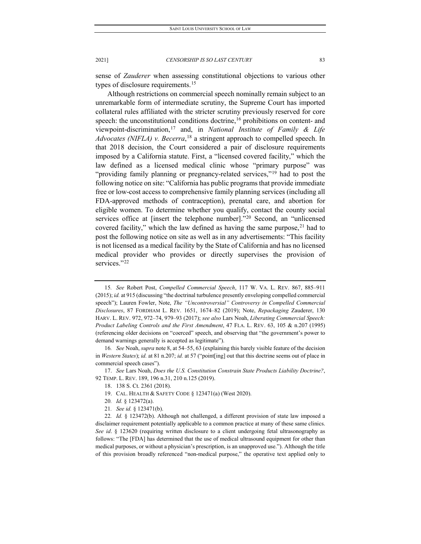sense of *Zauderer* when assessing constitutional objections to various other types of disclosure requirements.<sup>[15](#page-5-0)</sup>

Although restrictions on commercial speech nominally remain subject to an unremarkable form of intermediate scrutiny, the Supreme Court has imported collateral rules affiliated with the stricter scrutiny previously reserved for core speech: the unconstitutional conditions doctrine,<sup>[16](#page-5-1)</sup> prohibitions on content- and viewpoint-discrimination,[17](#page-5-2) and, in *National Institute of Family & Life Advocates (NIFLA) v. Becerra*, [18](#page-5-3) a stringent approach to compelled speech. In that 2018 decision, the Court considered a pair of disclosure requirements imposed by a California statute. First, a "licensed covered facility," which the law defined as a licensed medical clinic whose "primary purpose" was "providing family planning or pregnancy-related services,"<sup>[19](#page-5-4)</sup> had to post the following notice on site: "California has public programs that provide immediate free or low-cost access to comprehensive family planning services (including all FDA-approved methods of contraception), prenatal care, and abortion for eligible women. To determine whether you qualify, contact the county social services office at [insert the telephone number]."<sup>[20](#page-5-5)</sup> Second, an "unlicensed covered facility," which the law defined as having the same purpose, $21$  had to post the following notice on site as well as in any advertisements: "This facility is not licensed as a medical facility by the State of California and has no licensed medical provider who provides or directly supervises the provision of services."[22](#page-5-7)

<span id="page-5-4"></span><span id="page-5-3"></span><span id="page-5-2"></span>17. *See* Lars Noah, *Does the U.S. Constitution Constrain State Products Liability Doctrine?*, 92 TEMP. L. REV. 189, 196 n.31, 210 n.125 (2019).

- 20*. Id.* § 123472(a).
- 21*. See id.* § 123471(b).

<span id="page-5-0"></span><sup>15</sup>*. See* Robert Post, *Compelled Commercial Speech*, 117 W. VA. L. REV. 867, 885–911 (2015); *id.* at 915 (discussing "the doctrinal turbulence presently enveloping compelled commercial speech"); Lauren Fowler, Note, *The "Uncontroversial" Controversy in Compelled Commercial Disclosures*, 87 FORDHAM L. REV. 1651, 1674–82 (2019); Note, *Repackaging* Zauderer, 130 HARV. L. REV. 972, 972–74, 979–93 (2017); *see also* Lars Noah, *Liberating Commercial Speech: Product Labeling Controls and the First Amendment*, 47 FLA. L. REV. 63, 105 & n.207 (1995) (referencing older decisions on "coerced" speech, and observing that "the government's power to demand warnings generally is accepted as legitimate").

<span id="page-5-1"></span><sup>16</sup>*. See* Noah, *supra* note 8, at 54–55, 63 (explaining this barely visible feature of the decision in *Western States*); *id.* at 81 n.207; *id.* at 57 ("point[ing] out that this doctrine seems out of place in commercial speech cases").

<sup>18.</sup> 138 S. Ct. 2361 (2018).

<sup>19.</sup> CAL. HEALTH & SAFETY CODE § 123471(a) (West 2020).

<span id="page-5-7"></span><span id="page-5-6"></span><span id="page-5-5"></span><sup>22</sup>*. Id.* § 123472(b). Although not challenged, a different provision of state law imposed a disclaimer requirement potentially applicable to a common practice at many of these same clinics. *See id*. § 123620 (requiring written disclosure to a client undergoing fetal ultrasonography as follows: "The [FDA] has determined that the use of medical ultrasound equipment for other than medical purposes, or without a physician's prescription, is an unapproved use."). Although the title of this provision broadly referenced "non-medical purpose," the operative text applied only to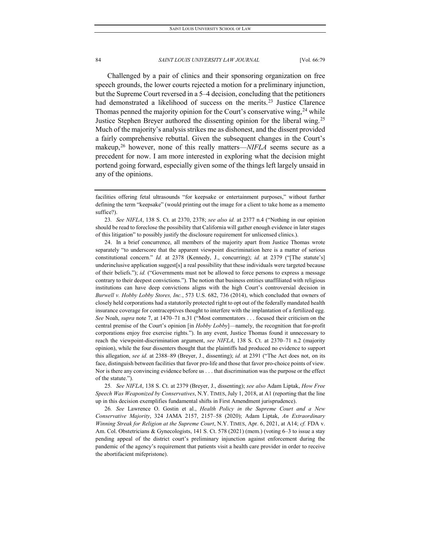Challenged by a pair of clinics and their sponsoring organization on free speech grounds, the lower courts rejected a motion for a preliminary injunction, but the Supreme Court reversed in a 5–4 decision, concluding that the petitioners had demonstrated a likelihood of success on the merits.<sup>[23](#page-6-0)</sup> Justice Clarence Thomas penned the majority opinion for the Court's conservative wing,  $24$  while Justice Stephen Breyer authored the dissenting opinion for the liberal wing.<sup>[25](#page-6-2)</sup> Much of the majority's analysis strikes me as dishonest, and the dissent provided a fairly comprehensive rebuttal. Given the subsequent changes in the Court's makeup,[26](#page-6-3) however, none of this really matters—*NIFLA* seems secure as a precedent for now. I am more interested in exploring what the decision might portend going forward, especially given some of the things left largely unsaid in any of the opinions.

<span id="page-6-1"></span>24. In a brief concurrence, all members of the majority apart from Justice Thomas wrote separately "to underscore that the apparent viewpoint discrimination here is a matter of serious constitutional concern." *Id.* at 2378 (Kennedy, J., concurring); *id.* at 2379 ("[The statute's] underinclusive application suggest[s] a real possibility that these individuals were targeted because of their beliefs."); *id.* ("Governments must not be allowed to force persons to express a message contrary to their deepest convictions."). The notion that business entities unaffiliated with religious institutions can have deep convictions aligns with the high Court's controversial decision in *Burwell v. Hobby Lobby Stores, Inc.*, 573 U.S. 682, 736 (2014), which concluded that owners of closely held corporations had a statutorily protected right to opt out of the federally mandated health insurance coverage for contraceptives thought to interfere with the implantation of a fertilized egg. *See* Noah, *supra* note 7, at 1470–71 n.31 ("Most commentators . . . focused their criticism on the central premise of the Court's opinion [in *Hobby Lobby*]—namely, the recognition that for-profit corporations enjoy free exercise rights."). In any event, Justice Thomas found it unnecessary to reach the viewpoint-discrimination argument, *see NIFLA*, 138 S. Ct. at 2370–71 n.2 (majority opinion), while the four dissenters thought that the plaintiffs had produced no evidence to support this allegation, *see id.* at 2388–89 (Breyer, J., dissenting); *id.* at 2391 ("The Act does not, on its face, distinguish between facilities that favor pro-life and those that favor pro-choice points of view. Nor is there any convincing evidence before us . . . that discrimination was the purpose or the effect of the statute.").

<span id="page-6-2"></span>25*. See NIFLA*, 138 S. Ct. at 2379 (Breyer, J., dissenting); *see also* Adam Liptak, *How Free Speech Was Weaponized by Conservatives*, N.Y. TIMES, July 1, 2018, at A1 (reporting that the line up in this decision exemplifies fundamental shifts in First Amendment jurisprudence).

<span id="page-6-3"></span>26*. See* Lawrence O. Gostin et al., *Health Policy in the Supreme Court and a New Conservative Majority*, 324 JAMA 2157, 2157–58 (2020); Adam Liptak, *An Extraordinary Winning Streak for Religion at the Supreme Court*, N.Y. TIMES, Apr. 6, 2021, at A14; *cf.* FDA v. Am. Col. Obstetricians & Gynecologists, 141 S. Ct. 578 (2021) (mem.) (voting 6–3 to issue a stay pending appeal of the district court's preliminary injunction against enforcement during the pandemic of the agency's requirement that patients visit a health care provider in order to receive the abortifacient mifepristone).

facilities offering fetal ultrasounds "for keepsake or entertainment purposes," without further defining the term "keepsake" (would printing out the image for a client to take home as a memento suffice?).

<span id="page-6-0"></span><sup>23</sup>*. See NIFLA*, 138 S. Ct. at 2370, 2378; *see also id.* at 2377 n.4 ("Nothing in our opinion should be read to foreclose the possibility that California will gather enough evidence in later stages of this litigation" to possibly justify the disclosure requirement for unlicensed clinics.).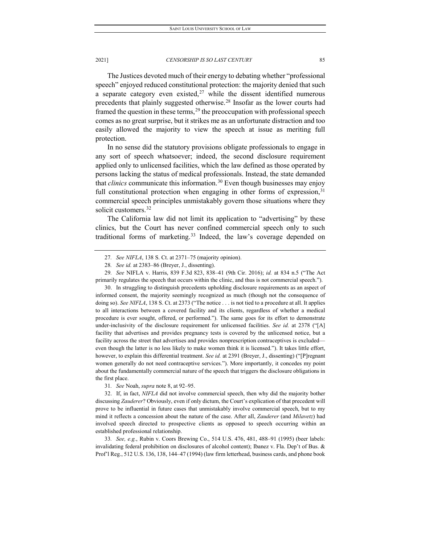The Justices devoted much of their energy to debating whether "professional speech" enjoyed reduced constitutional protection: the majority denied that such a separate category even existed,<sup>[27](#page-7-0)</sup> while the dissent identified numerous precedents that plainly suggested otherwise.[28](#page-7-1) Insofar as the lower courts had framed the question in these terms, $^{29}$  $^{29}$  $^{29}$  the preoccupation with professional speech comes as no great surprise, but it strikes me as an unfortunate distraction and too easily allowed the majority to view the speech at issue as meriting full protection.

In no sense did the statutory provisions obligate professionals to engage in any sort of speech whatsoever; indeed, the second disclosure requirement applied only to unlicensed facilities, which the law defined as those operated by persons lacking the status of medical professionals. Instead, the state demanded that *clinics* communicate this information.<sup>[30](#page-7-3)</sup> Even though businesses may enjoy full constitutional protection when engaging in other forms of expression,<sup>[31](#page-7-4)</sup> commercial speech principles unmistakably govern those situations where they solicit customers.<sup>[32](#page-7-5)</sup>

The California law did not limit its application to "advertising" by these clinics, but the Court has never confined commercial speech only to such traditional forms of marketing.[33](#page-7-6) Indeed, the law's coverage depended on

<span id="page-7-3"></span>30. In struggling to distinguish precedents upholding disclosure requirements as an aspect of informed consent, the majority seemingly recognized as much (though not the consequence of doing so). *See NIFLA*, 138 S. Ct. at 2373 ("The notice . . . is not tied to a procedure at all. It applies to all interactions between a covered facility and its clients, regardless of whether a medical procedure is ever sought, offered, or performed."). The same goes for its effort to demonstrate under-inclusivity of the disclosure requirement for unlicensed facilities. *See id.* at 2378 ("[A] facility that advertises and provides pregnancy tests is covered by the unlicensed notice, but a facility across the street that advertises and provides nonprescription contraceptives is excluded even though the latter is no less likely to make women think it is licensed."). It takes little effort, however, to explain this differential treatment. *See id.* at 2391 (Breyer, J., dissenting) ("[P]regnant women generally do not need contraceptive services."). More importantly, it concedes my point about the fundamentally commercial nature of the speech that triggers the disclosure obligations in the first place.

<span id="page-7-5"></span><span id="page-7-4"></span>32. If, in fact, *NIFLA* did not involve commercial speech, then why did the majority bother discussing *Zauderer*? Obviously, even if only dictum, the Court's explication of that precedent will prove to be influential in future cases that unmistakably involve commercial speech, but to my mind it reflects a concession about the nature of the case. After all, *Zauderer* (and *Milavetz*) had involved speech directed to prospective clients as opposed to speech occurring within an established professional relationship.

<span id="page-7-6"></span>33*. See, e.g.*, Rubin v. Coors Brewing Co., 514 U.S. 476, 481, 488–91 (1995) (beer labels: invalidating federal prohibition on disclosures of alcohol content); Ibanez v. Fla. Dep't of Bus. & Prof'l Reg., 512 U.S. 136, 138, 144–47 (1994) (law firm letterhead, business cards, and phone book

<sup>27</sup>*. See NIFLA*, 138 S. Ct. at 2371–75 (majority opinion).

<sup>28</sup>*. See id.* at 2383–86 (Breyer, J., dissenting).

<span id="page-7-2"></span><span id="page-7-1"></span><span id="page-7-0"></span><sup>29</sup>*. See* NIFLA v. Harris, 839 F.3d 823, 838–41 (9th Cir. 2016); *id.* at 834 n.5 ("The Act primarily regulates the speech that occurs within the clinic, and thus is not commercial speech.").

<sup>31</sup>*. See* Noah, *supra* note 8, at 92–95.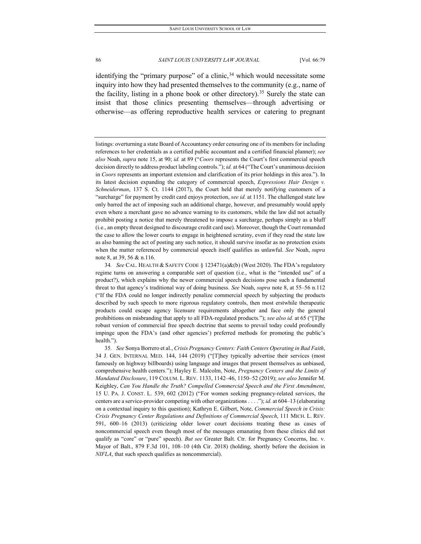identifying the "primary purpose" of a clinic,<sup>[34](#page-8-0)</sup> which would necessitate some inquiry into how they had presented themselves to the community (e.g., name of the facility, listing in a phone book or other directory).<sup>[35](#page-8-1)</sup> Surely the state can insist that those clinics presenting themselves—through advertising or otherwise—as offering reproductive health services or catering to pregnant

listings: overturning a state Board of Accountancy order censuring one of its members for including references to her credentials as a certified public accountant and a certified financial planner); *see also* Noah, *supra* note 15, at 90; *id.* at 89 ("*Coors* represents the Court's first commercial speech decision directly to address product labeling controls."); *id.* at 64 ("The Court's unanimous decision in *Coors* represents an important extension and clarification of its prior holdings in this area."). In its latest decision expanding the category of commercial speech, *Expressions Hair Design v. Schneiderman*, 137 S. Ct. 1144 (2017), the Court held that merely notifying customers of a "surcharge" for payment by credit card enjoys protection, *see id.* at 1151. The challenged state law only barred the act of imposing such an additional charge, however, and presumably would apply even where a merchant gave no advance warning to its customers, while the law did not actually prohibit posting a notice that merely threatened to impose a surcharge, perhaps simply as a bluff (i.e., an empty threat designed to discourage credit card use). Moreover, though the Court remanded the case to allow the lower courts to engage in heightened scrutiny, even if they read the state law as also banning the act of posting any such notice, it should survive insofar as no protection exists when the matter referenced by commercial speech itself qualifies as unlawful. *See* Noah, *supra* note 8, at 39, 56 & n.116.

<span id="page-8-0"></span><sup>34</sup>*. See* CAL. HEALTH & SAFETY CODE § 123471(a)&(b) (West 2020). The FDA's regulatory regime turns on answering a comparable sort of question (i.e., what is the "intended use" of a product?), which explains why the newer commercial speech decisions pose such a fundamental threat to that agency's traditional way of doing business. *See* Noah, *supra* note 8, at 55–56 n.112 ("If the FDA could no longer indirectly penalize commercial speech by subjecting the products described by such speech to more rigorous regulatory controls, then most erstwhile therapeutic products could escape agency licensure requirements altogether and face only the general prohibitions on misbranding that apply to all FDA-regulated products."); *see also id.* at 65 ("[T]he robust version of commercial free speech doctrine that seems to prevail today could profoundly impinge upon the FDA's (and other agencies') preferred methods for promoting the public's health.").

<span id="page-8-1"></span><sup>35</sup>*. See* Sonya Borrero et al., *Crisis Pregnancy Centers: Faith Centers Operating in Bad Faith*, 34 J. GEN. INTERNAL MED. 144, 144 (2019) ("[T]hey typically advertise their services (most famously on highway billboards) using language and images that present themselves as unbiased, comprehensive health centers."); Hayley E. Malcolm, Note, *Pregnancy Centers and the Limits of Mandated Disclosure*, 119 COLUM. L. REV. 1133, 1142–46, 1150–52 (2019); *see also* Jennifer M. Keighley, *Can You Handle the Truth? Compelled Commercial Speech and the First Amendment*, 15 U. PA. J. CONST. L. 539, 602 (2012) ("For women seeking pregnancy-related services, the centers are a service-provider competing with other organizations . . . ."); *id.* at 604–13 (elaborating on a contextual inquiry to this question); Kathryn E. Gilbert, Note, *Commercial Speech in Crisis: Crisis Pregnancy Center Regulations and Definitions of Commercial Speech*, 111 MICH. L. REV. 591, 600–16 (2013) (criticizing older lower court decisions treating these as cases of noncommercial speech even though most of the messages emanating from these clinics did not qualify as "core" or "pure" speech). *But see* Greater Balt. Ctr. for Pregnancy Concerns, Inc. v. Mayor of Balt., 879 F.3d 101, 108–10 (4th Cir. 2018) (holding, shortly before the decision in *NIFLA*, that such speech qualifies as noncommercial).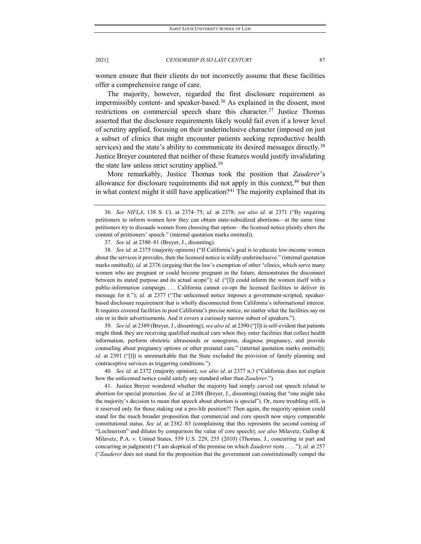women ensure that their clients do not incorrectly assume that these facilities offer a comprehensive range of care.

The majority, however, regarded the first disclosure requirement as impermissibly content- and speaker-based.[36](#page-9-0) As explained in the dissent, most restrictions on commercial speech share this character.<sup>[37](#page-9-1)</sup> Justice Thomas asserted that the disclosure requirements likely would fail even if a lower level of scrutiny applied, focusing on their underinclusive character (imposed on just a subset of clinics that might encounter patients seeking reproductive health services) and the state's ability to communicate its desired messages directly.<sup>[38](#page-9-2)</sup> Justice Breyer countered that neither of these features would justify invalidating the state law unless strict scrutiny applied.<sup>[39](#page-9-3)</sup>

More remarkably, Justice Thomas took the position that *Zauderer*'s allowance for disclosure requirements did not apply in this context,  $40$  but then in what context might it still have application?<sup>[41](#page-9-5)</sup> The majority explained that its

<span id="page-9-3"></span>39*. See id.* at 2389 (Breyer, J., dissenting); *see also id.* at 2390 ("[I]t is self-evident that patients might think they are receiving qualified medical care when they enter facilities that collect health information, perform obstetric ultrasounds or sonograms, diagnose pregnancy, and provide counseling about pregnancy options or other prenatal care." (internal quotation marks omitted)); *id.* at 2391 ("[I]t is unremarkable that the State excluded the provision of family planning and contraceptive services as triggering conditions.").

<span id="page-9-4"></span>40*. See id.* at 2372 (majority opinion); *see also id.* at 2377 n.3 ("California does not explain how the unlicensed notice could satisfy any standard other than *Zauderer*.").

<span id="page-9-5"></span>41. Justice Breyer wondered whether the majority had simply carved out speech related to abortion for special protection. *See id.* at 2388 (Breyer, J., dissenting) (noting that "one might take the majority's decision to mean that speech about abortion is special"). Or, more troubling still, is it reserved only for those staking out a pro-life position?! Then again, the majority opinion could stand for the much broader proposition that commercial and core speech now enjoy comparable constitutional status. *See id.* at 2382–83 (complaining that this represents the second coming of "Lochnerism" and dilutes by comparison the value of core speech); *see also* Milavetz, Gallop & Milavetz, P.A. v. United States, 559 U.S. 229, 255 (2010) (Thomas, J., concurring in part and concurring in judgment) ("I am skeptical of the premise on which *Zauderer* rests . . . ."); *id.* at 257 ("*Zauderer* does not stand for the proposition that the government can constitutionally compel the

<span id="page-9-0"></span><sup>36</sup>*. See NIFLA*, 138 S. Ct. at 2374–75; *id.* at 2378; *see also id.* at 2371 ("By requiring petitioners to inform women how they can obtain state-subsidized abortions—at the same time petitioners try to dissuade women from choosing that option—the licensed notice plainly alters the content of petitioners' speech." (internal quotation marks omitted)).

<sup>37</sup>*. See id.* at 2380–81 (Breyer, J., dissenting).

<span id="page-9-2"></span><span id="page-9-1"></span><sup>38</sup>*. See id.* at 2375 (majority opinion) ("If California's goal is to educate low-income women about the services it provides, then the licensed notice is wildly underinclusive." (internal quotation marks omitted)); *id.* at 2376 (arguing that the law's exemption of other "clinics, which serve many women who are pregnant or could become pregnant in the future, demonstrates the disconnect between its stated purpose and its actual scope"); *id.* ("[I]t could inform the women itself with a public-information campaign. . . . California cannot co-opt the licensed facilities to deliver its message for it."); *id.* at 2377 ("The unlicensed notice imposes a government-scripted, speakerbased disclosure requirement that is wholly disconnected from California's informational interest. It requires covered facilities to post California's precise notice, no matter what the facilities say on site or in their advertisements. And it covers a curiously narrow subset of speakers.").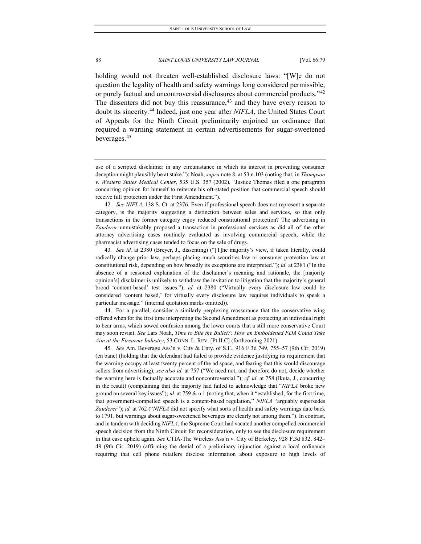holding would not threaten well-established disclosure laws: "[W]e do not question the legality of health and safety warnings long considered permissible, or purely factual and uncontroversial disclosures about commercial products."[42](#page-10-0) The dissenters did not buy this reassurance, $43$  and they have every reason to doubt its sincerity.[44](#page-10-2) Indeed, just one year after *NIFLA*, the United States Court of Appeals for the Ninth Circuit preliminarily enjoined an ordinance that required a warning statement in certain advertisements for sugar-sweetened beverages.[45](#page-10-3)

<span id="page-10-0"></span>42*. See NIFLA*, 138 S. Ct. at 2376. Even if professional speech does not represent a separate category, is the majority suggesting a distinction between sales and services, so that only transactions in the former category enjoy reduced constitutional protection? The advertising in *Zauderer* unmistakably proposed a transaction in professional services as did all of the other attorney advertising cases routinely evaluated as involving commercial speech, while the pharmacist advertising cases tended to focus on the sale of drugs.

<span id="page-10-1"></span>43*. See id.* at 2380 (Breyer, J., dissenting) ("[T]he majority's view, if taken literally, could radically change prior law, perhaps placing much securities law or consumer protection law at constitutional risk, depending on how broadly its exceptions are interpreted."); *id.* at 2381 ("In the absence of a reasoned explanation of the disclaimer's meaning and rationale, the [majority opinion's] disclaimer is unlikely to withdraw the invitation to litigation that the majority's general broad 'content-based' test issues."); *id.* at 2380 ("Virtually every disclosure law could be considered 'content based,' for virtually every disclosure law requires individuals to speak a particular message." (internal quotation marks omitted)).

<span id="page-10-2"></span>44. For a parallel, consider a similarly perplexing reassurance that the conservative wing offered when for the first time interpreting the Second Amendment as protecting an individual right to bear arms, which sowed confusion among the lower courts that a still more conservative Court may soon revisit. *See* Lars Noah, *Time to Bite the Bullet?: How an Emboldened FDA Could Take Aim at the Firearms Industry*, 53 CONN. L. REV. [Pt.II.C] (forthcoming 2021).

<span id="page-10-3"></span>45*. See* Am. Beverage Ass'n v. City & Cnty. of S.F., 916 F.3d 749, 755–57 (9th Cir. 2019) (en banc) (holding that the defendant had failed to provide evidence justifying its requirement that the warning occupy at least twenty percent of the ad space, and fearing that this would discourage sellers from advertising); *see also id.* at 757 ("We need not, and therefore do not, decide whether the warning here is factually accurate and noncontroversial."); *cf. id.* at 758 (Ikuta, J., concurring in the result) (complaining that the majority had failed to acknowledge that "*NIFLA* broke new ground on several key issues"); *id.* at 759 & n.1 (noting that, when it "established, for the first time, that government-compelled speech is a content-based regulation," *NIFLA* "arguably supersedes *Zauderer*"); *id.* at 762 ("*NIFLA* did not specify what sorts of health and safety warnings date back to 1791, but warnings about sugar-sweetened beverages are clearly not among them."). In contrast, and in tandem with deciding *NIFLA*, the Supreme Court had vacated another compelled commercial speech decision from the Ninth Circuit for reconsideration, only to see the disclosure requirement in that case upheld again. *See* CTIA-The Wireless Ass'n v. City of Berkeley, 928 F.3d 832, 842– 49 (9th Cir. 2019) (affirming the denial of a preliminary injunction against a local ordinance requiring that cell phone retailers disclose information about exposure to high levels of

use of a scripted disclaimer in any circumstance in which its interest in preventing consumer deception might plausibly be at stake."); Noah, *supra* note 8, at 53 n.103 (noting that, in *Thompson v. Western States Medical Center*, 535 U.S. 357 (2002), "Justice Thomas filed a one paragraph concurring opinion for himself to reiterate his oft-stated position that commercial speech should receive full protection under the First Amendment.").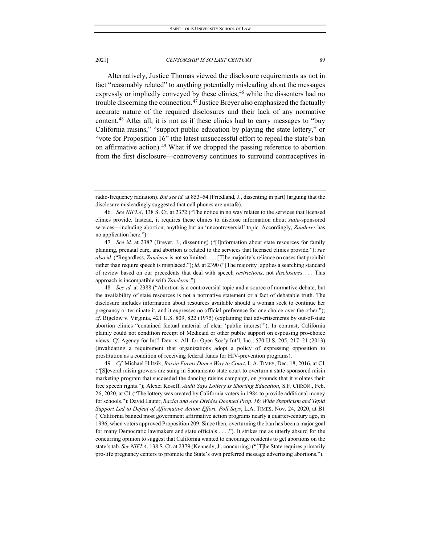Alternatively, Justice Thomas viewed the disclosure requirements as not in fact "reasonably related" to anything potentially misleading about the messages expressly or impliedly conveyed by these clinics,<sup>[46](#page-11-0)</sup> while the dissenters had no trouble discerning the connection.<sup>[47](#page-11-1)</sup> Justice Breyer also emphasized the factually accurate nature of the required disclosures and their lack of any normative content.[48](#page-11-2) After all, it is not as if these clinics had to carry messages to "buy California raisins," "support public education by playing the state lottery," or "vote for Proposition 16" (the latest unsuccessful effort to repeal the state's ban on affirmative action).[49](#page-11-3) What if we dropped the passing reference to abortion from the first disclosure—controversy continues to surround contraceptives in

<span id="page-11-2"></span>48*. See id.* at 2388 ("Abortion is a controversial topic and a source of normative debate, but the availability of state resources is not a normative statement or a fact of debatable truth. The disclosure includes information about resources available should a woman seek to continue her pregnancy or terminate it, and it expresses no official preference for one choice over the other."); *cf*. Bigelow v. Virginia, 421 U.S. 809, 822 (1975) (explaining that advertisements by out-of-state abortion clinics "contained factual material of clear 'public interest'"). In contrast, California plainly could not condition receipt of Medicaid or other public support on espousing pro-choice views. *Cf.* Agency for Int'l Dev. v. All. for Open Soc'y Int'l, Inc., 570 U.S. 205, 217–21 (2013) (invalidating a requirement that organizations adopt a policy of expressing opposition to prostitution as a condition of receiving federal funds for HIV-prevention programs).

<span id="page-11-3"></span>49*. Cf.* Michael Hiltzik, *Raisin Farms Dance Way to Court*, L.A. TIMES, Dec. 18, 2016, at C1 ("[S]everal raisin growers are suing in Sacramento state court to overturn a state-sponsored raisin marketing program that succeeded the dancing raisins campaign, on grounds that it violates their free speech rights."); Alexei Koseff, *Audit Says Lottery Is Shorting Education*, S.F. CHRON., Feb. 26, 2020, at C1 ("The lottery was created by California voters in 1984 to provide additional money for schools."); David Lauter, *Racial and Age Divides Doomed Prop. 16; Wide Skepticism and Tepid Support Led to Defeat of Affirmative Action Effort, Poll Says*, L.A. TIMES, Nov. 24, 2020, at B1 ("California banned most government affirmative action programs nearly a quarter-century ago, in 1996, when voters approved Proposition 209. Since then, overturning the ban has been a major goal for many Democratic lawmakers and state officials . . . ."). It strikes me as utterly absurd for the concurring opinion to suggest that California wanted to encourage residents to get abortions on the state's tab. *See NIFLA*, 138 S. Ct. at 2379 (Kennedy, J., concurring) ("[T]he State requires primarily pro-life pregnancy centers to promote the State's own preferred message advertising abortions.").

radio-frequency radiation). *But see id.* at 853–54 (Friedland, J., dissenting in part) (arguing that the disclosure misleadingly suggested that cell phones are unsafe).

<span id="page-11-0"></span><sup>46</sup>*. See NIFLA*, 138 S. Ct. at 2372 ("The notice in no way relates to the services that licensed clinics provide. Instead, it requires these clinics to disclose information about *state*-sponsored services—including abortion, anything but an 'uncontroversial' topic. Accordingly, *Zauderer* has no application here.").

<span id="page-11-1"></span><sup>47</sup>*. See id.* at 2387 (Breyer, J., dissenting) ("[I]nformation about state resources for family planning, prenatal care, and abortion *is* related to the services that licensed clinics provide."); *see also id.* ("Regardless, *Zauderer* is not so limited. . . . [T]he majority's reliance on cases that prohibit rather than require speech is misplaced."); *id.* at 2390 ("[The majority] applies a searching standard of review based on our precedents that deal with speech *restrictions*, not *disclosures*. . . . This approach is incompatible with *Zauderer*.").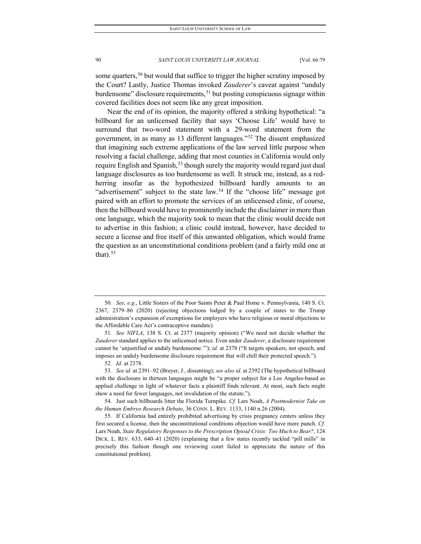some quarters,<sup>[50](#page-12-0)</sup> but would that suffice to trigger the higher scrutiny imposed by the Court? Lastly, Justice Thomas invoked *Zauderer*'s caveat against "unduly burdensome" disclosure requirements,  $51$  but posting conspicuous signage within covered facilities does not seem like any great imposition.

Near the end of its opinion, the majority offered a striking hypothetical: "a billboard for an unlicensed facility that says 'Choose Life' would have to surround that two-word statement with a 29-word statement from the government, in as many as 13 different languages."[52](#page-12-2) The dissent emphasized that imagining such extreme applications of the law served little purpose when resolving a facial challenge, adding that most counties in California would only require English and Spanish,<sup>[53](#page-12-3)</sup> though surely the majority would regard just dual language disclosures as too burdensome as well. It struck me, instead, as a redherring insofar as the hypothesized billboard hardly amounts to an "advertisement" subject to the state law.<sup>[54](#page-12-4)</sup> If the "choose life" message got paired with an effort to promote the services of an unlicensed clinic, of course, then the billboard would have to prominently include the disclaimer in more than one language, which the majority took to mean that the clinic would decide not to advertise in this fashion; a clinic could instead, however, have decided to secure a license and free itself of this unwanted obligation, which would frame the question as an unconstitutional conditions problem (and a fairly mild one at that). $55$ 

<span id="page-12-0"></span><sup>50</sup>*. See, e.g.*, Little Sisters of the Poor Saints Peter & Paul Home v. Pennsylvania, 140 S. Ct. 2367, 2379–86 (2020) (rejecting objections lodged by a couple of states to the Trump administration's expansion of exemptions for employers who have religious or moral objections to the Affordable Care Act's contraceptive mandate).

<span id="page-12-1"></span><sup>51</sup>*. See NIFLA*, 138 S. Ct. at 2377 (majority opinion) ("We need not decide whether the *Zauderer* standard applies to the unlicensed notice. Even under *Zauderer*, a disclosure requirement cannot be 'unjustified or unduly burdensome.'"); *id.* at 2378 ("It targets speakers, not speech, and imposes an unduly burdensome disclosure requirement that will chill their protected speech.").

<sup>52</sup>*. Id.* at 2378.

<span id="page-12-3"></span><span id="page-12-2"></span><sup>53</sup>*. See id.* at 2391–92 (Breyer, J., dissenting); *see also id.* at 2392 (The hypothetical billboard with the disclosure in thirteen languages might be "a proper subject for a Los Angeles-based as applied challenge in light of whatever facts a plaintiff finds relevant. At most, such facts might show a need for fewer languages, not invalidation of the statute.").

<span id="page-12-4"></span><sup>54.</sup> Just such billboards litter the Florida Turnpike. *Cf.* Lars Noah, *A Postmodernist Take on the Human Embryo Research Debate*, 36 CONN. L. REV. 1133, 1140 n.26 (2004).

<span id="page-12-5"></span><sup>55.</sup> If California had entirely prohibited advertising by crisis pregnancy centers unless they first secured a license, then the unconstitutional conditions objection would have more punch. *Cf.* Lars Noah, *State Regulatory Responses to the Prescription Opioid Crisis: Too Much to Bear?*, 124 DICK. L. REV. 633, 640–41 (2020) (explaining that a few states recently tackled "pill mills" in precisely this fashion though one reviewing court failed to appreciate the nature of this constitutional problem).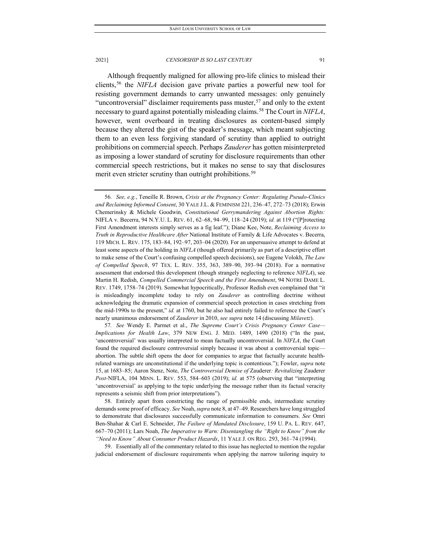Although frequently maligned for allowing pro-life clinics to mislead their clients,[56](#page-13-0) the *NIFLA* decision gave private parties a powerful new tool for resisting government demands to carry unwanted messages: only genuinely "uncontroversial" disclaimer requirements pass muster,<sup>[57](#page-13-1)</sup> and only to the extent necessary to guard against potentially misleading claims.[58](#page-13-2) The Court in *NIFLA*, however, went overboard in treating disclosures as content-based simply because they altered the gist of the speaker's message, which meant subjecting them to an even less forgiving standard of scrutiny than applied to outright prohibitions on commercial speech. Perhaps *Zauderer* has gotten misinterpreted as imposing a lower standard of scrutiny for disclosure requirements than other commercial speech restrictions, but it makes no sense to say that disclosures merit even stricter scrutiny than outright prohibitions.<sup>[59](#page-13-3)</sup>

<span id="page-13-0"></span>56*. See, e.g.*, Teneille R. Brown, *Crisis at the Pregnancy Center: Regulating Pseudo-Clinics and Reclaiming Informed Consent*, 30 YALE J.L. & FEMINISM 221, 236–47, 272–73 (2018); Erwin Chemerinsky & Michele Goodwin, *Constitutional Gerrymandering Against Abortion Rights:*  NIFLA v. Becerra, 94 N.Y.U. L. REV. 61, 62–68, 94–99, 118–24 (2019); *id.* at 119 ("[P]rotecting First Amendment interests simply serves as a fig leaf."); Diane Kee, Note, *Reclaiming Access to Truth in Reproductive Healthcare After* National Institute of Family & Life Advocates v. Becerra, 119 MICH. L. REV. 175, 183–84, 192–97, 203–04 (2020). For an unpersuasive attempt to defend at least some aspects of the holding in *NIFLA* (though offered primarily as part of a descriptive effort to make sense of the Court's confusing compelled speech decisions), see Eugene Volokh, *The Law of Compelled Speech*, 97 TEX. L. REV. 355, 363, 389–90, 393–94 (2018). For a normative assessment that endorsed this development (though strangely neglecting to reference *NIFLA*), see Martin H. Redish, *Compelled Commercial Speech and the First Amendment*, 94 NOTRE DAME L. REV. 1749, 1758–74 (2019). Somewhat hypocritically, Professor Redish even complained that "it is misleadingly incomplete today to rely on *Zauderer* as controlling doctrine without acknowledging the dramatic expansion of commercial speech protection in cases stretching from the mid-1990s to the present," *id.* at 1760, but he also had entirely failed to reference the Court's nearly unanimous endorsement of *Zauderer* in 2010, *see supra* note 14 (discussing *Milavetz*).

<span id="page-13-1"></span>57*. See* Wendy E. Parmet et al., *The Supreme Court's Crisis Pregnancy Center Case— Implications for Health Law*, 379 NEW ENG. J. MED. 1489, 1490 (2018) ("In the past, 'uncontroversial' was usually interpreted to mean factually uncontroversial. In *NIFLA*, the Court found the required disclosure controversial simply because it was about a controversial topic abortion. The subtle shift opens the door for companies to argue that factually accurate healthrelated warnings are unconstitutional if the underlying topic is contentious."); Fowler, *supra* note 15, at 1683–85; Aaron Stenz, Note, *The Controversial Demise of* Zauderer*: Revitalizing* Zauderer *Post-*NIFLA, 104 MINN. L. REV. 553, 584–603 (2019); *id.* at 575 (observing that "interpreting 'uncontroversial' as applying to the topic underlying the message rather than its factual veracity represents a seismic shift from prior interpretations").

<span id="page-13-2"></span>58. Entirely apart from constricting the range of permissible ends, intermediate scrutiny demands some proof of efficacy. *See* Noah, *supra* note 8, at 47–49. Researchers have long struggled to demonstrate that disclosures successfully communicate information to consumers. *See* Omri Ben-Shahar & Carl E. Schneider, *The Failure of Mandated Disclosure*, 159 U. PA. L. REV. 647, 667–70 (2011); Lars Noah, *The Imperative to Warn: Disentangling the "Right to Know" from the "Need to Know" About Consumer Product Hazards*, 11 YALE J. ON REG. 293, 361–74 (1994).

<span id="page-13-3"></span>59. Essentially all of the commentary related to this issue has neglected to mention the regular judicial endorsement of disclosure requirements when applying the narrow tailoring inquiry to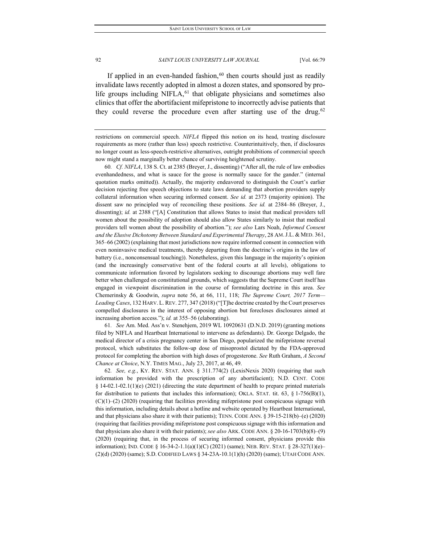If applied in an even-handed fashion, $60$  then courts should just as readily invalidate laws recently adopted in almost a dozen states, and sponsored by prolife groups including NIFLA,<sup>61</sup> that obligate physicians and sometimes also clinics that offer the abortifacient mifepristone to incorrectly advise patients that they could reverse the procedure even after starting use of the drug.<sup>[62](#page-14-2)</sup>

<span id="page-14-0"></span>60*. Cf. NIFLA*, 138 S. Ct. at 2385 (Breyer, J., dissenting) ("After all, the rule of law embodies evenhandedness, and what is sauce for the goose is normally sauce for the gander." (internal quotation marks omitted)). Actually, the majority endeavored to distinguish the Court's earlier decision rejecting free speech objections to state laws demanding that abortion providers supply collateral information when securing informed consent. *See id.* at 2373 (majority opinion). The dissent saw no principled way of reconciling these positions. *See id.* at 2384–86 (Breyer, J., dissenting); *id.* at 2388 ("[A] Constitution that allows States to insist that medical providers tell women about the possibility of adoption should also allow States similarly to insist that medical providers tell women about the possibility of abortion."); *see also* Lars Noah, *Informed Consent and the Elusive Dichotomy Between Standard and Experimental Therapy*, 28 AM.J.L. & MED. 361, 365–66 (2002) (explaining that most jurisdictions now require informed consent in connection with even noninvasive medical treatments, thereby departing from the doctrine's origins in the law of battery (i.e., nonconsensual touching)). Nonetheless, given this language in the majority's opinion (and the increasingly conservative bent of the federal courts at all levels), obligations to communicate information favored by legislators seeking to discourage abortions may well fare better when challenged on constitutional grounds, which suggests that the Supreme Court itself has engaged in viewpoint discrimination in the course of formulating doctrine in this area. *See* Chemerinsky & Goodwin, *supra* note 56, at 66, 111, 118; *The Supreme Court, 2017 Term— Leading Cases*, 132 HARV. L. REV. 277, 347 (2018) ("[T]he doctrine created by the Court preserves compelled disclosures in the interest of opposing abortion but forecloses disclosures aimed at increasing abortion access."); *id.* at 355–56 (elaborating).

<span id="page-14-1"></span>61*. See* Am. Med. Ass'n v. Stenehjem, 2019 WL 10920631 (D.N.D. 2019) (granting motions filed by NIFLA and Heartbeat International to intervene as defendants). Dr. George Delgado, the medical director of a crisis pregnancy center in San Diego, popularized the mifepristone reversal protocol, which substitutes the follow-up dose of misoprostol dictated by the FDA-approved protocol for completing the abortion with high doses of progesterone. *See* Ruth Graham, *A Second Chance at Choice*, N.Y. TIMES MAG., July 23, 2017, at 46, 49.

<span id="page-14-2"></span>62*. See, e.g.*, KY. REV. STAT. ANN. § 311.774(2) (LexisNexis 2020) (requiring that such information be provided with the prescription of any abortifacient); N.D. CENT. CODE  $§$  14-02.1-02.1(1)(e) (2021) (directing the state department of health to prepare printed materials for distribution to patients that includes this information); OKLA. STAT. tit. 63, § 1-756(B)(1), (C)(1)–(2) (2020) (requiring that facilities providing mifepristone post conspicuous signage with this information, including details about a hotline and website operated by Heartbeat International, and that physicians also share it with their patients); TENN. CODE ANN. § 39-15-218(b)–(e) (2020) (requiring that facilities providing mifepristone post conspicuous signage with this information and that physicians also share it with their patients); *see also* ARK. CODE ANN. § 20-16-1703(b)(8)–(9) (2020) (requiring that, in the process of securing informed consent, physicians provide this information); IND. CODE § 16-34-2-1.1(a)(1)(C) (2021) (same); NEB. REV. STAT. § 28-327(1)(e)– (2)(d) (2020) (same); S.D. CODIFIED LAWS § 34-23A-10.1(1)(h) (2020) (same); UTAH CODE ANN.

restrictions on commercial speech. *NIFLA* flipped this notion on its head, treating disclosure requirements as more (rather than less) speech restrictive. Counterintuitively, then, if disclosures no longer count as less-speech-restrictive alternatives, outright prohibitions of commercial speech now might stand a marginally better chance of surviving heightened scrutiny.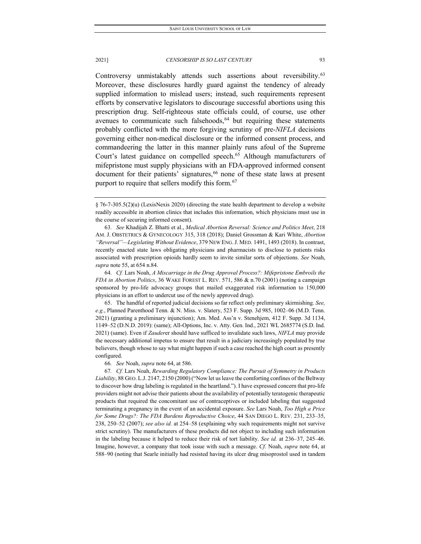Controversy unmistakably attends such assertions about reversibility.<sup>[63](#page-15-0)</sup> Moreover, these disclosures hardly guard against the tendency of already supplied information to mislead users; instead, such requirements represent efforts by conservative legislators to discourage successful abortions using this prescription drug. Self-righteous state officials could, of course, use other avenues to communicate such falsehoods, $64$  but requiring these statements probably conflicted with the more forgiving scrutiny of pre-*NIFLA* decisions governing either non-medical disclosure or the informed consent process, and commandeering the latter in this manner plainly runs afoul of the Supreme Court's latest guidance on compelled speech.<sup>[65](#page-15-2)</sup> Although manufacturers of mifepristone must supply physicians with an FDA-approved informed consent document for their patients' signatures,<sup>[66](#page-15-3)</sup> none of these state laws at present purport to require that sellers modify this form.<sup>[67](#page-15-4)</sup>

<span id="page-15-1"></span>64*. Cf.* Lars Noah, *A Miscarriage in the Drug Approval Process?: Mifepristone Embroils the FDA in Abortion Politics*, 36 WAKE FOREST L. REV. 571, 586 & n.70 (2001) (noting a campaign sponsored by pro-life advocacy groups that mailed exaggerated risk information to 150,000 physicians in an effort to undercut use of the newly approved drug).

<span id="page-15-2"></span>65. The handful of reported judicial decisions so far reflect only preliminary skirmishing. *See, e.g.*, Planned Parenthood Tenn. & N. Miss. v. Slatery, 523 F. Supp. 3d 985, 1002–06 (M.D. Tenn. 2021) (granting a preliminary injunction); Am. Med. Ass'n v. Stenehjem, 412 F. Supp. 3d 1134, 1149–52 (D.N.D. 2019): (same); All-Options, Inc. v. Atty. Gen. Ind., 2021 WL 2685774 (S.D. Ind. 2021) (same). Even if *Zauder*er should have sufficed to invalidate such laws, *NIFLA* may provide the necessary additional impetus to ensure that result in a judiciary increasingly populated by true believers, though whose to say what might happen if such a case reached the high court as presently configured.

66*. See* Noah, *supra* note 64, at 586.

<span id="page-15-4"></span><span id="page-15-3"></span>67*. Cf.* Lars Noah, *Rewarding Regulatory Compliance: The Pursuit of Symmetry in Products Liability*, 88 GEO. L.J. 2147, 2150 (2000) ("Now let us leave the comforting confines of the Beltway to discover how drug labeling is regulated in the heartland."). I have expressed concern that pro-life providers might not advise their patients about the availability of potentially teratogenic therapeutic products that required the concomitant use of contraceptives or included labeling that suggested terminating a pregnancy in the event of an accidental exposure. *See* Lars Noah, *Too High a Price for Some Drugs?: The FDA Burdens Reproductive Choice*, 44 SAN DIEGO L. REV. 231, 233–35, 238, 250–52 (2007); *see also id.* at 254–58 (explaining why such requirements might not survive strict scrutiny). The manufacturers of these products did not object to including such information in the labeling because it helped to reduce their risk of tort liability. *See id.* at 236–37, 245–46. Imagine, however, a company that took issue with such a message. *Cf.* Noah, *supra* note 64, at 588–90 (noting that Searle initially had resisted having its ulcer drug misoprostol used in tandem

<sup>§</sup> 76-7-305.5(2)(u) (LexisNexis 2020) (directing the state health department to develop a website readily accessible in abortion clinics that includes this information, which physicians must use in the course of securing informed consent).

<span id="page-15-0"></span><sup>63</sup>*. See* Khadijah Z. Bhatti et al., *Medical Abortion Reversal: Science and Politics Meet*, 218 AM. J. OBSTETRICS & GYNECOLOGY 315, 318 (2018); Daniel Grossman & Kari White, *Abortion "Reversal"—Legislating Without Evidence*, 379 NEW ENG.J. MED. 1491, 1493 (2018). In contrast, recently enacted state laws obligating physicians and pharmacists to disclose to patients risks associated with prescription opioids hardly seem to invite similar sorts of objections. *See* Noah, *supra* note 55, at 654 n.84.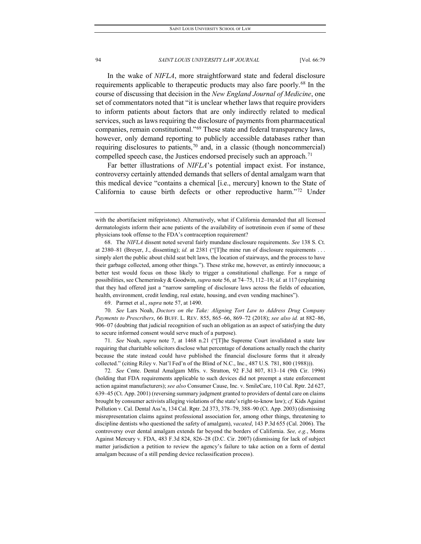In the wake of *NIFLA*, more straightforward state and federal disclosure requirements applicable to therapeutic products may also fare poorly.<sup>[68](#page-16-0)</sup> In the course of discussing that decision in the *New England Journal of Medicine*, one set of commentators noted that "it is unclear whether laws that require providers to inform patients about factors that are only indirectly related to medical services, such as laws requiring the disclosure of payments from pharmaceutical companies, remain constitutional."[69](#page-16-1) These state and federal transparency laws, however, only demand reporting to publicly accessible databases rather than requiring disclosures to patients,<sup>[70](#page-16-2)</sup> and, in a classic (though noncommercial) compelled speech case, the Justices endorsed precisely such an approach.<sup>[71](#page-16-3)</sup>

Far better illustrations of *NIFLA*'s potential impact exist. For instance, controversy certainly attended demands that sellers of dental amalgam warn that this medical device "contains a chemical [i.e., mercury] known to the State of California to cause birth defects or other reproductive harm."[72](#page-16-4) Under

69. Parmet et al., *supra* note 57, at 1490.

<span id="page-16-2"></span><span id="page-16-1"></span>70*. See* Lars Noah, *Doctors on the Take: Aligning Tort Law to Address Drug Company Payments to Prescribers*, 66 BUFF. L. REV. 855, 865–66, 869–72 (2018); *see also id.* at 882–86, 906–07 (doubting that judicial recognition of such an obligation as an aspect of satisfying the duty to secure informed consent would serve much of a purpose).

<span id="page-16-3"></span>71*. See* Noah, *supra* note 7, at 1468 n.21 ("[T]he Supreme Court invalidated a state law requiring that charitable solicitors disclose what percentage of donations actually reach the charity because the state instead could have published the financial disclosure forms that it already collected." (citing Riley v. Nat'l Fed'n of the Blind of N.C., Inc., 487 U.S. 781, 800 (1988))).

<span id="page-16-4"></span>72*. See* Cmte. Dental Amalgam Mfrs. v. Stratton, 92 F.3d 807, 813–14 (9th Cir. 1996) (holding that FDA requirements applicable to such devices did not preempt a state enforcement action against manufacturers); *see also* Consumer Cause, Inc. v. SmileCare, 110 Cal. Rptr. 2d 627, 639–45 (Ct. App. 2001) (reversing summary judgment granted to providers of dental care on claims brought by consumer activists alleging violations of the state's right-to-know law); *cf.* Kids Against Pollution v. Cal. Dental Ass'n, 134 Cal. Rptr. 2d 373, 378–79, 388–90 (Ct. App. 2003) (dismissing misrepresentation claims against professional association for, among other things, threatening to discipline dentists who questioned the safety of amalgam), *vacated*, 143 P.3d 655 (Cal. 2006). The controversy over dental amalgam extends far beyond the borders of California. *See, e.g.*, Moms Against Mercury v. FDA, 483 F.3d 824, 826–28 (D.C. Cir. 2007) (dismissing for lack of subject matter jurisdiction a petition to review the agency's failure to take action on a form of dental amalgam because of a still pending device reclassification process).

with the abortifacient mifepristone). Alternatively, what if California demanded that all licensed dermatologists inform their acne patients of the availability of isotretinoin even if some of these physicians took offense to the FDA's contraception requirement?

<span id="page-16-0"></span><sup>68.</sup> The *NIFLA* dissent noted several fairly mundane disclosure requirements. *See* 138 S. Ct. at 2380–81 (Breyer, J., dissenting); *id.* at 2381 ("[T]he mine run of disclosure requirements . . . simply alert the public about child seat belt laws, the location of stairways, and the process to have their garbage collected, among other things."). These strike me, however, as entirely innocuous; a better test would focus on those likely to trigger a constitutional challenge. For a range of possibilities, see Chemerinsky & Goodwin, *supra* note 56, at 74–75, 112–18; *id.* at 117 (explaining that they had offered just a "narrow sampling of disclosure laws across the fields of education, health, environment, credit lending, real estate, housing, and even vending machines").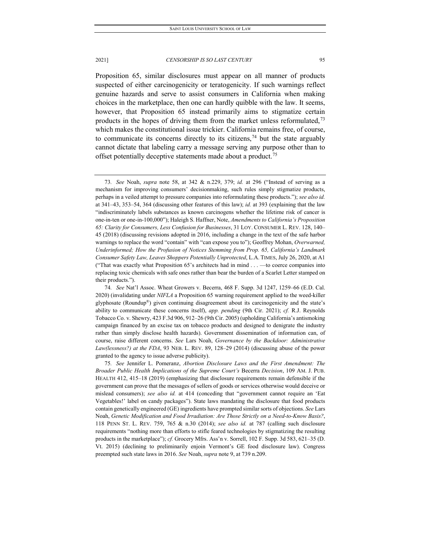Proposition 65, similar disclosures must appear on all manner of products suspected of either carcinogenicity or teratogenicity. If such warnings reflect genuine hazards and serve to assist consumers in California when making choices in the marketplace, then one can hardly quibble with the law. It seems, however, that Proposition 65 instead primarily aims to stigmatize certain products in the hopes of driving them from the market unless reformulated,  $73$ which makes the constitutional issue trickier. California remains free, of course, to communicate its concerns directly to its citizens,  $74$  but the state arguably cannot dictate that labeling carry a message serving any purpose other than to offset potentially deceptive statements made about a product.[75](#page-17-2)

<span id="page-17-0"></span><sup>73</sup>*. See* Noah, *supra* note 58, at 342 & n.229, 379; *id.* at 296 ("Instead of serving as a mechanism for improving consumers' decisionmaking, such rules simply stigmatize products, perhaps in a veiled attempt to pressure companies into reformulating these products."); *see also id.* at 341–43, 353–54, 364 (discussing other features of this law); *id.* at 393 (explaining that the law "indiscriminately labels substances as known carcinogens whether the lifetime risk of cancer is one-in-ten or one-in-100,000"); Haleigh S. Haffner, Note, *Amendments to California's Proposition 65: Clarity for Consumers, Less Confusion for Businesses*, 31 LOY. CONSUMER L. REV. 128, 140– 45 (2018) (discussing revisions adopted in 2016, including a change in the text of the safe harbor warnings to replace the word "contain" with "can expose you to"); Geoffrey Mohan, *Overwarned, Underinformed; How the Profusion of Notices Stemming from Prop. 65, California's Landmark Consumer Safety Law, Leaves Shoppers Potentially Unprotected*, L.A. TIMES, July 26, 2020, at A1 ("That was exactly what Proposition 65's architects had in mind . . . —to coerce companies into replacing toxic chemicals with safe ones rather than bear the burden of a Scarlet Letter stamped on their products.").

<span id="page-17-1"></span><sup>74</sup>*. See* Nat'l Assoc. Wheat Growers v. Becerra, 468 F. Supp. 3d 1247, 1259–66 (E.D. Cal. 2020) (invalidating under *NIFLA* a Proposition 65 warning requirement applied to the weed-killer glyphosate (Roundup®) given continuing disagreement about its carcinogenicity and the state's ability to communicate these concerns itself), *app. pending* (9th Cir. 2021); *cf.* R.J. Reynolds Tobacco Co. v. Shewry, 423 F.3d 906, 912–26 (9th Cir. 2005) (upholding California's antismoking campaign financed by an excise tax on tobacco products and designed to denigrate the industry rather than simply disclose health hazards). Government dissemination of information can, of course, raise different concerns. *See* Lars Noah, *Governance by the Backdoor: Administrative Law(lessness?) at the FDA*, 93 NEB. L. REV. 89, 128–29 (2014) (discussing abuse of the power granted to the agency to issue adverse publicity).

<span id="page-17-2"></span><sup>75</sup>*. See* Jennifer L. Pomeranz, *Abortion Disclosure Laws and the First Amendment: The Broader Public Health Implications of the Supreme Court's* Becerra *Decision*, 109 AM. J. PUB. HEALTH 412, 415–18 (2019) (emphasizing that disclosure requirements remain defensible if the government can prove that the messages of sellers of goods or services otherwise would deceive or mislead consumers); *see also id.* at 414 (conceding that "government cannot require an 'Eat Vegetables!' label on candy packages"). State laws mandating the disclosure that food products contain genetically engineered (GE) ingredients have prompted similar sorts of objections. *See* Lars Noah, *Genetic Modification and Food Irradiation: Are Those Strictly on a Need-to-Know Basis?*, 118 PENN ST. L. REV. 759, 765 & n.30 (2014); *see also id.* at 787 (calling such disclosure requirements "nothing more than efforts to stifle feared technologies by stigmatizing the resulting products in the marketplace"); *cf.* Grocery Mfrs. Ass'n v. Sorrell, 102 F. Supp. 3d 583, 621–35 (D. Vt. 2015) (declining to preliminarily enjoin Vermont's GE food disclosure law). Congress preempted such state laws in 2016. *See* Noah, *supra* note 9, at 739 n.209.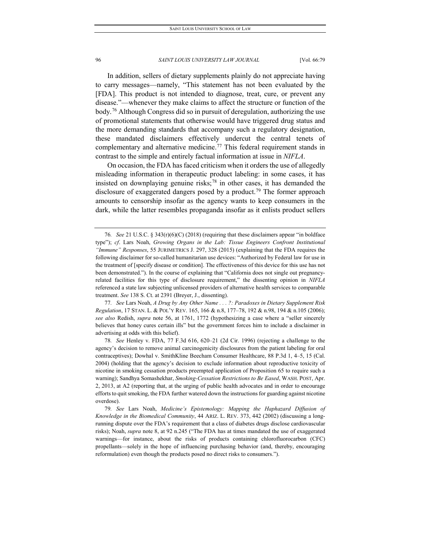In addition, sellers of dietary supplements plainly do not appreciate having to carry messages—namely, "This statement has not been evaluated by the [FDA]. This product is not intended to diagnose, treat, cure, or prevent any disease."—whenever they make claims to affect the structure or function of the body.[76](#page-18-0) Although Congress did so in pursuit of deregulation, authorizing the use of promotional statements that otherwise would have triggered drug status and the more demanding standards that accompany such a regulatory designation, these mandated disclaimers effectively undercut the central tenets of complementary and alternative medicine.<sup>[77](#page-18-1)</sup> This federal requirement stands in contrast to the simple and entirely factual information at issue in *NIFLA*.

On occasion, the FDA has faced criticism when it orders the use of allegedly misleading information in therapeutic product labeling: in some cases, it has insisted on downplaying genuine risks; $^{78}$  $^{78}$  $^{78}$  in other cases, it has demanded the disclosure of exaggerated dangers posed by a product.<sup>79</sup> The former approach amounts to censorship insofar as the agency wants to keep consumers in the dark, while the latter resembles propaganda insofar as it enlists product sellers

<span id="page-18-1"></span>77*. See* Lars Noah, *A Drug by Any Other Name . . . ?: Paradoxes in Dietary Supplement Risk Regulation*, 17 STAN. L. & POL'Y REV. 165, 166 & n.8, 177–78, 192 & n.98, 194 & n.105 (2006); *see also* Redish, *supra* note 56, at 1761, 1772 (hypothesizing a case where a "seller sincerely believes that honey cures certain ills" but the government forces him to include a disclaimer in advertising at odds with this belief).

<span id="page-18-0"></span><sup>76</sup>*. See* 21 U.S.C. § 343(r)(6)(C) (2018) (requiring that these disclaimers appear "in boldface type"); *cf*. Lars Noah, *Growing Organs in the Lab: Tissue Engineers Confront Institutional "Immune" Responses*, 55 JURIMETRICS J. 297, 328 (2015) (explaining that the FDA requires the following disclaimer for so-called humanitarian use devices: "Authorized by Federal law for use in the treatment of [specify disease or condition]. The effectiveness of this device for this use has not been demonstrated."). In the course of explaining that "California does not single out pregnancyrelated facilities for this type of disclosure requirement," the dissenting opinion in *NIFLA* referenced a state law subjecting unlicensed providers of alternative health services to comparable treatment. *See* 138 S. Ct. at 2391 (Breyer, J., dissenting).

<span id="page-18-2"></span><sup>78</sup>*. See* Henley v. FDA, 77 F.3d 616, 620–21 (2d Cir. 1996) (rejecting a challenge to the agency's decision to remove animal carcinogenicity disclosures from the patient labeling for oral contraceptives); Dowhal v. SmithKline Beecham Consumer Healthcare, 88 P.3d 1, 4–5, 15 (Cal. 2004) (holding that the agency's decision to exclude information about reproductive toxicity of nicotine in smoking cessation products preempted application of Proposition 65 to require such a warning); Sandhya Somashekhar, *Smoking-Cessation Restrictions to Be Eased*, WASH. POST, Apr. 2, 2013, at A2 (reporting that, at the urging of public health advocates and in order to encourage efforts to quit smoking, the FDA further watered down the instructions for guarding against nicotine overdose).

<span id="page-18-3"></span><sup>79</sup>*. See* Lars Noah, *Medicine's Epistemology: Mapping the Haphazard Diffusion of Knowledge in the Biomedical Community*, 44 ARIZ. L. REV. 373, 442 (2002) (discussing a longrunning dispute over the FDA's requirement that a class of diabetes drugs disclose cardiovascular risks); Noah, *supra* note 8, at 92 n.245 ("The FDA has at times mandated the use of exaggerated warnings—for instance, about the risks of products containing chlorofluorocarbon (CFC) propellants—solely in the hope of influencing purchasing behavior (and, thereby, encouraging reformulation) even though the products posed no direct risks to consumers.").